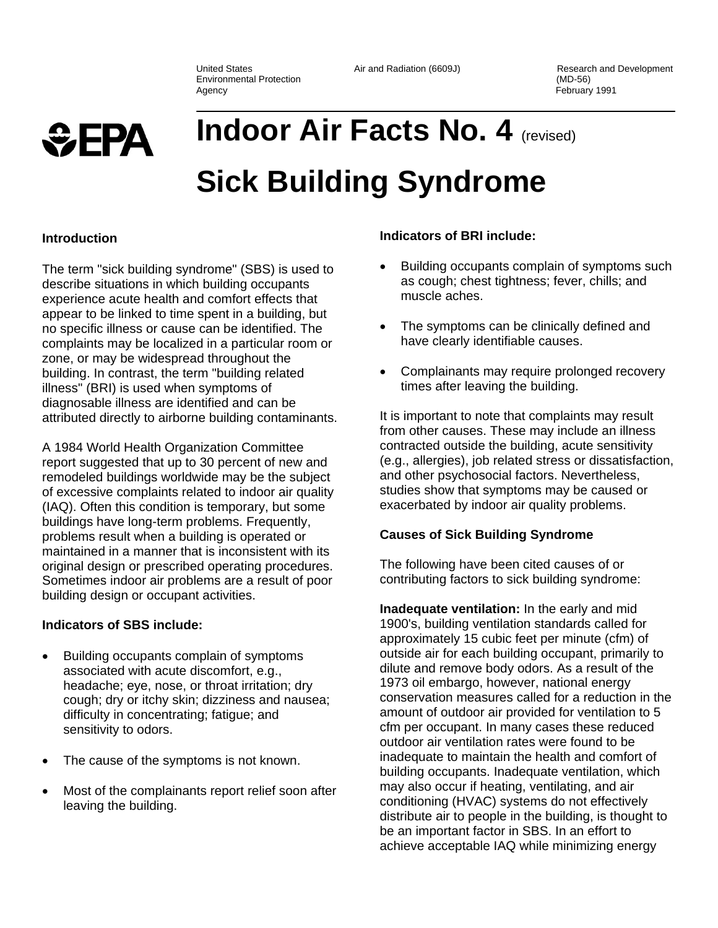Environmental Protection **Environmental Protection** (MD-56) and the set of the set of the set of the set of the M<br>Agency **Februan** 

United States **Air and Radiation (6609J)** Research and Development February 1991

# **Indoor Air Facts No. 4 (revised)**  $EFA$ **Sick Building Syndrome**

## **Introduction**

The term "sick building syndrome" (SBS) is used to describe situations in which building occupants experience acute health and comfort effects that appear to be linked to time spent in a building, but no specific illness or cause can be identified. The complaints may be localized in a particular room or zone, or may be widespread throughout the building. In contrast, the term "building related illness" (BRI) is used when symptoms of diagnosable illness are identified and can be attributed directly to airborne building contaminants.

A 1984 World Health Organization Committee report suggested that up to 30 percent of new and remodeled buildings worldwide may be the subject of excessive complaints related to indoor air quality (IAQ). Often this condition is temporary, but some buildings have long-term problems. Frequently, problems result when a building is operated or maintained in a manner that is inconsistent with its original design or prescribed operating procedures. Sometimes indoor air problems are a result of poor building design or occupant activities.

## **Indicators of SBS include:**

- Building occupants complain of symptoms associated with acute discomfort, e.g., headache; eye, nose, or throat irritation; dry cough; dry or itchy skin; dizziness and nausea; difficulty in concentrating; fatigue; and sensitivity to odors.
- The cause of the symptoms is not known.
- Most of the complainants report relief soon after leaving the building.

## **Indicators of BRI include:**

- Building occupants complain of symptoms such as cough; chest tightness; fever, chills; and muscle aches.
- The symptoms can be clinically defined and have clearly identifiable causes.
- Complainants may require prolonged recovery times after leaving the building.

It is important to note that complaints may result from other causes. These may include an illness contracted outside the building, acute sensitivity (e.g., allergies), job related stress or dissatisfaction, and other psychosocial factors. Nevertheless, studies show that symptoms may be caused or exacerbated by indoor air quality problems.

## **Causes of Sick Building Syndrome**

The following have been cited causes of or contributing factors to sick building syndrome:

**Inadequate ventilation:** In the early and mid 1900's, building ventilation standards called for approximately 15 cubic feet per minute (cfm) of outside air for each building occupant, primarily to dilute and remove body odors. As a result of the 1973 oil embargo, however, national energy conservation measures called for a reduction in the amount of outdoor air provided for ventilation to 5 cfm per occupant. In many cases these reduced outdoor air ventilation rates were found to be inadequate to maintain the health and comfort of building occupants. Inadequate ventilation, which may also occur if heating, ventilating, and air conditioning (HVAC) systems do not effectively distribute air to people in the building, is thought to be an important factor in SBS. In an effort to achieve acceptable IAQ while minimizing energy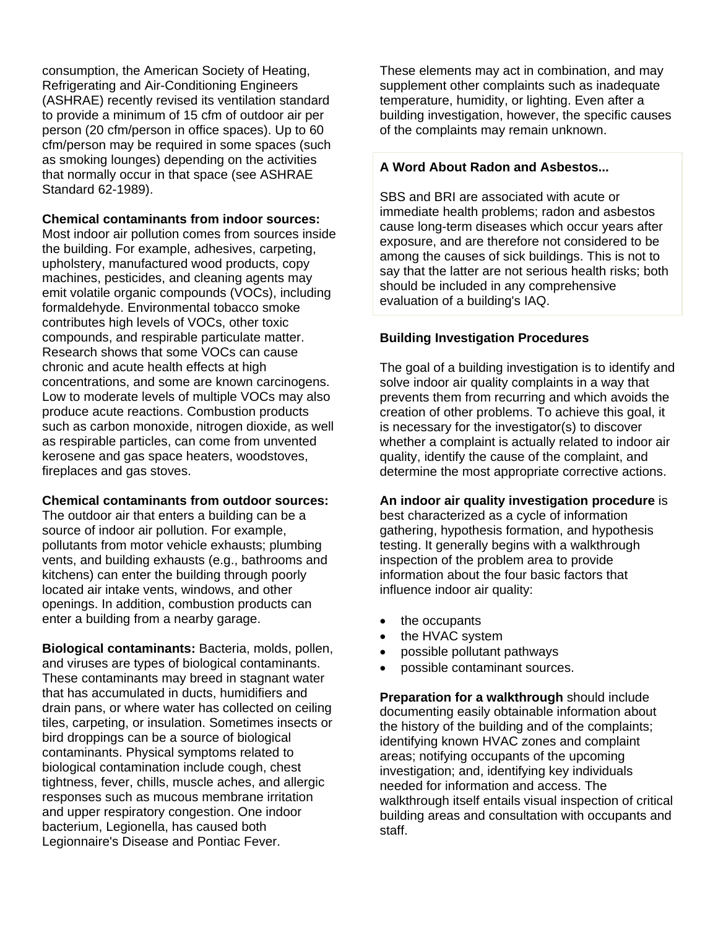consumption, the American Society of Heating, Refrigerating and Air-Conditioning Engineers (ASHRAE) recently revised its ventilation standard to provide a minimum of 15 cfm of outdoor air per person (20 cfm/person in office spaces). Up to 60 cfm/person may be required in some spaces (such as smoking lounges) depending on the activities that normally occur in that space (see ASHRAE Standard 62-1989).

## **Chemical contaminants from indoor sources:**

Most indoor air pollution comes from sources inside the building. For example, adhesives, carpeting, upholstery, manufactured wood products, copy machines, pesticides, and cleaning agents may emit volatile organic compounds (VOCs), including formaldehyde. Environmental tobacco smoke contributes high levels of VOCs, other toxic compounds, and respirable particulate matter. Research shows that some VOCs can cause chronic and acute health effects at high concentrations, and some are known carcinogens. Low to moderate levels of multiple VOCs may also produce acute reactions. Combustion products such as carbon monoxide, nitrogen dioxide, as well as respirable particles, can come from unvented kerosene and gas space heaters, woodstoves, fireplaces and gas stoves.

## **Chemical contaminants from outdoor sources:**

The outdoor air that enters a building can be a source of indoor air pollution. For example, pollutants from motor vehicle exhausts; plumbing vents, and building exhausts (e.g., bathrooms and kitchens) can enter the building through poorly located air intake vents, windows, and other openings. In addition, combustion products can enter a building from a nearby garage.

**Biological contaminants:** Bacteria, molds, pollen, and viruses are types of biological contaminants. These contaminants may breed in stagnant water that has accumulated in ducts, humidifiers and drain pans, or where water has collected on ceiling tiles, carpeting, or insulation. Sometimes insects or bird droppings can be a source of biological contaminants. Physical symptoms related to biological contamination include cough, chest tightness, fever, chills, muscle aches, and allergic responses such as mucous membrane irritation and upper respiratory congestion. One indoor bacterium, Legionella, has caused both Legionnaire's Disease and Pontiac Fever.

These elements may act in combination, and may supplement other complaints such as inadequate temperature, humidity, or lighting. Even after a building investigation, however, the specific causes of the complaints may remain unknown.

# **A Word About Radon and Asbestos...**

SBS and BRI are associated with acute or immediate health problems; radon and asbestos cause long-term diseases which occur years after exposure, and are therefore not considered to be among the causes of sick buildings. This is not to say that the latter are not serious health risks; both should be included in any comprehensive evaluation of a building's IAQ.

# **Building Investigation Procedures**

The goal of a building investigation is to identify and solve indoor air quality complaints in a way that prevents them from recurring and which avoids the creation of other problems. To achieve this goal, it is necessary for the investigator(s) to discover whether a complaint is actually related to indoor air quality, identify the cause of the complaint, and determine the most appropriate corrective actions.

## **An indoor air quality investigation procedure** is

best characterized as a cycle of information gathering, hypothesis formation, and hypothesis testing. It generally begins with a walkthrough inspection of the problem area to provide information about the four basic factors that influence indoor air quality:

- the occupants
- the HVAC system
- possible pollutant pathways
- possible contaminant sources.

**Preparation for a walkthrough** should include documenting easily obtainable information about the history of the building and of the complaints; identifying known HVAC zones and complaint areas; notifying occupants of the upcoming investigation; and, identifying key individuals needed for information and access. The walkthrough itself entails visual inspection of critical building areas and consultation with occupants and staff.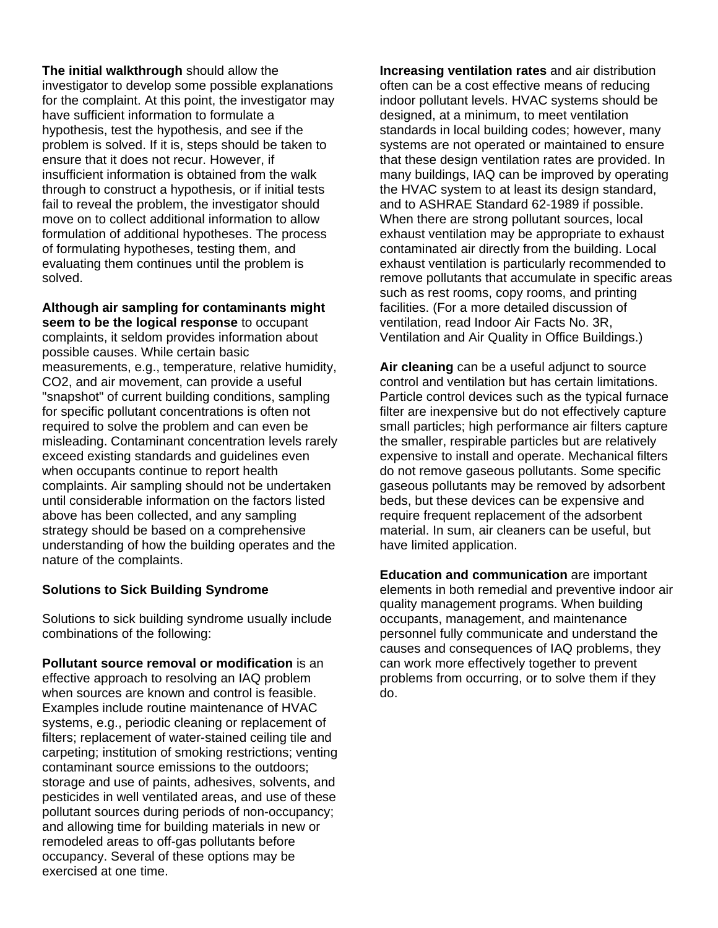**The initial walkthrough** should allow the investigator to develop some possible explanations for the complaint. At this point, the investigator may have sufficient information to formulate a hypothesis, test the hypothesis, and see if the problem is solved. If it is, steps should be taken to ensure that it does not recur. However, if insufficient information is obtained from the walk through to construct a hypothesis, or if initial tests fail to reveal the problem, the investigator should move on to collect additional information to allow formulation of additional hypotheses. The process of formulating hypotheses, testing them, and evaluating them continues until the problem is solved.

**Although air sampling for contaminants might seem to be the logical response** to occupant complaints, it seldom provides information about possible causes. While certain basic measurements, e.g., temperature, relative humidity, CO2, and air movement, can provide a useful "snapshot" of current building conditions, sampling for specific pollutant concentrations is often not required to solve the problem and can even be misleading. Contaminant concentration levels rarely exceed existing standards and guidelines even when occupants continue to report health complaints. Air sampling should not be undertaken until considerable information on the factors listed above has been collected, and any sampling strategy should be based on a comprehensive understanding of how the building operates and the nature of the complaints.

# **Solutions to Sick Building Syndrome**

Solutions to sick building syndrome usually include combinations of the following:

**Pollutant source removal or modification** is an effective approach to resolving an IAQ problem when sources are known and control is feasible. Examples include routine maintenance of HVAC systems, e.g., periodic cleaning or replacement of filters; replacement of water-stained ceiling tile and carpeting; institution of smoking restrictions; venting contaminant source emissions to the outdoors; storage and use of paints, adhesives, solvents, and pesticides in well ventilated areas, and use of these pollutant sources during periods of non-occupancy; and allowing time for building materials in new or remodeled areas to off-gas pollutants before occupancy. Several of these options may be exercised at one time.

**Increasing ventilation rates** and air distribution often can be a cost effective means of reducing indoor pollutant levels. HVAC systems should be designed, at a minimum, to meet ventilation standards in local building codes; however, many systems are not operated or maintained to ensure that these design ventilation rates are provided. In many buildings, IAQ can be improved by operating the HVAC system to at least its design standard, and to ASHRAE Standard 62-1989 if possible. When there are strong pollutant sources, local exhaust ventilation may be appropriate to exhaust contaminated air directly from the building. Local exhaust ventilation is particularly recommended to remove pollutants that accumulate in specific areas such as rest rooms, copy rooms, and printing facilities. (For a more detailed discussion of ventilation, read Indoor Air Facts No. 3R, Ventilation and Air Quality in Office Buildings.)

**Air cleaning** can be a useful adjunct to source control and ventilation but has certain limitations. Particle control devices such as the typical furnace filter are inexpensive but do not effectively capture small particles; high performance air filters capture the smaller, respirable particles but are relatively expensive to install and operate. Mechanical filters do not remove gaseous pollutants. Some specific gaseous pollutants may be removed by adsorbent beds, but these devices can be expensive and require frequent replacement of the adsorbent material. In sum, air cleaners can be useful, but have limited application.

**Education and communication** are important elements in both remedial and preventive indoor air quality management programs. When building occupants, management, and maintenance personnel fully communicate and understand the causes and consequences of IAQ problems, they can work more effectively together to prevent problems from occurring, or to solve them if they do.